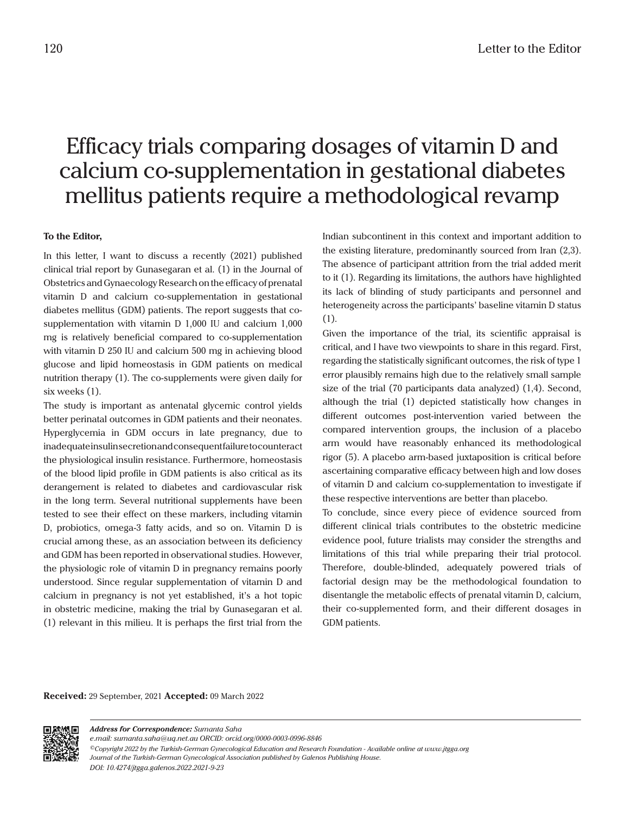## Efficacy trials comparing dosages of vitamin D and calcium co-supplementation in gestational diabetes mellitus patients require a methodological revamp

## **To the Editor,**

In this letter, I want to discuss a recently (2021) published clinical trial report by Gunasegaran et al. (1) in the Journal of Obstetrics and Gynaecology Research on the efficacy of prenatal vitamin D and calcium co-supplementation in gestational diabetes mellitus (GDM) patients. The report suggests that cosupplementation with vitamin D 1,000 IU and calcium 1,000 mg is relatively beneficial compared to co-supplementation with vitamin D 250 IU and calcium 500 mg in achieving blood glucose and lipid homeostasis in GDM patients on medical nutrition therapy (1). The co-supplements were given daily for six weeks (1).

The study is important as antenatal glycemic control yields better perinatal outcomes in GDM patients and their neonates. Hyperglycemia in GDM occurs in late pregnancy, due to inadequate insulin secretion and consequent failure to counteract the physiological insulin resistance. Furthermore, homeostasis of the blood lipid profile in GDM patients is also critical as its derangement is related to diabetes and cardiovascular risk in the long term. Several nutritional supplements have been tested to see their effect on these markers, including vitamin D, probiotics, omega-3 fatty acids, and so on. Vitamin D is crucial among these, as an association between its deficiency and GDM has been reported in observational studies. However, the physiologic role of vitamin D in pregnancy remains poorly understood. Since regular supplementation of vitamin D and calcium in pregnancy is not yet established, it's a hot topic in obstetric medicine, making the trial by Gunasegaran et al. (1) relevant in this milieu. It is perhaps the first trial from the

Indian subcontinent in this context and important addition to the existing literature, predominantly sourced from Iran (2,3). The absence of participant attrition from the trial added merit to it (1). Regarding its limitations, the authors have highlighted its lack of blinding of study participants and personnel and heterogeneity across the participants' baseline vitamin D status (1).

Given the importance of the trial, its scientific appraisal is critical, and I have two viewpoints to share in this regard. First, regarding the statistically significant outcomes, the risk of type 1 error plausibly remains high due to the relatively small sample size of the trial (70 participants data analyzed) (1,4). Second, although the trial (1) depicted statistically how changes in different outcomes post-intervention varied between the compared intervention groups, the inclusion of a placebo arm would have reasonably enhanced its methodological rigor (5). A placebo arm-based juxtaposition is critical before ascertaining comparative efficacy between high and low doses of vitamin D and calcium co-supplementation to investigate if these respective interventions are better than placebo.

To conclude, since every piece of evidence sourced from different clinical trials contributes to the obstetric medicine evidence pool, future trialists may consider the strengths and limitations of this trial while preparing their trial protocol. Therefore, double-blinded, adequately powered trials of factorial design may be the methodological foundation to disentangle the metabolic effects of prenatal vitamin D, calcium, their co-supplemented form, and their different dosages in GDM patients.

**Received:** 29 September, 2021 **Accepted:** 09 March 2022



*Address for Correspondence: Sumanta Saha e.mail: sumanta.saha@uq.net.au ORCID: orcid.org/0000-0003-0996-8846 ©Copyright 2022 by the Turkish-German Gynecological Education and Research Foundation - Available online at www.jtgga.org Journal of the Turkish-German Gynecological Association published by Galenos Publishing House. DOI: 10.4274/jtgga.galenos.2022.2021-9-23*